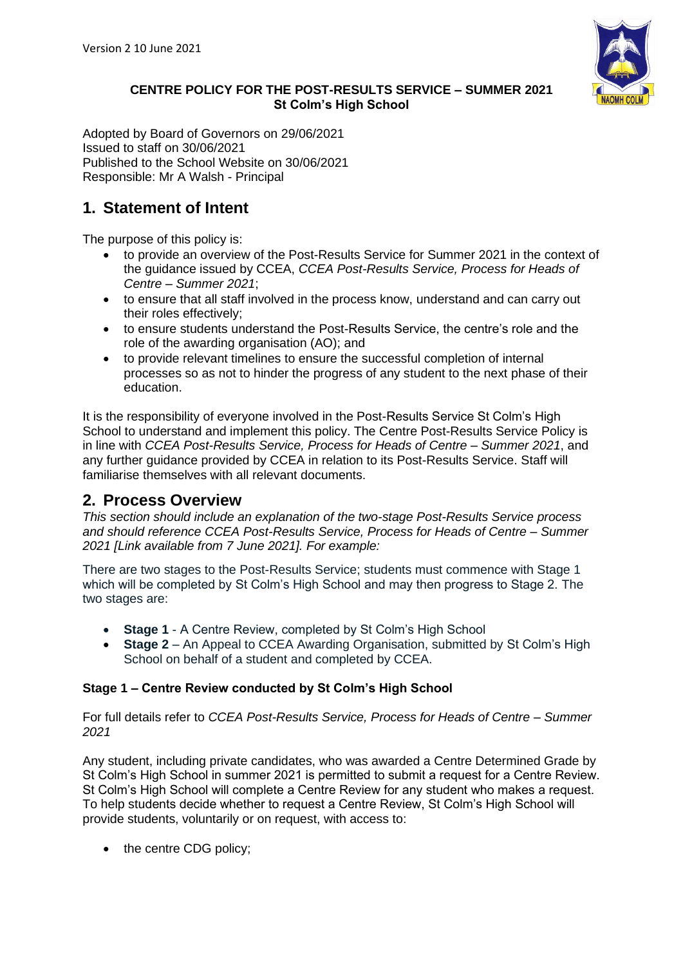

#### **CENTRE POLICY FOR THE POST-RESULTS SERVICE – SUMMER 2021 St Colm's High School**

Adopted by Board of Governors on 29/06/2021 Issued to staff on 30/06/2021 Published to the School Website on 30/06/2021 Responsible: Mr A Walsh - Principal

# **1. Statement of Intent**

The purpose of this policy is:

- to provide an overview of the Post-Results Service for Summer 2021 in the context of the guidance issued by CCEA, *CCEA Post-Results Service, Process for Heads of Centre – Summer 2021*;
- to ensure that all staff involved in the process know, understand and can carry out their roles effectively;
- to ensure students understand the Post-Results Service, the centre's role and the role of the awarding organisation (AO); and
- to provide relevant timelines to ensure the successful completion of internal processes so as not to hinder the progress of any student to the next phase of their education.

It is the responsibility of everyone involved in the Post-Results Service St Colm's High School to understand and implement this policy. The Centre Post-Results Service Policy is in line with *CCEA Post-Results Service, Process for Heads of Centre – Summer 2021*, and any further guidance provided by CCEA in relation to its Post-Results Service. Staff will familiarise themselves with all relevant documents.

## **2. Process Overview**

*This section should include an explanation of the two-stage Post-Results Service process and should reference CCEA Post-Results Service, Process for Heads of Centre – Summer 2021 [Link available from 7 June 2021]. For example:*

There are two stages to the Post-Results Service; students must commence with Stage 1 which will be completed by St Colm's High School and may then progress to Stage 2. The two stages are:

- **Stage 1** A Centre Review, completed by St Colm's High School
- **Stage 2** An Appeal to CCEA Awarding Organisation, submitted by St Colm's High School on behalf of a student and completed by CCEA.

### **Stage 1 – Centre Review conducted by St Colm's High School**

For full details refer to *CCEA Post-Results Service, Process for Heads of Centre – Summer 2021*

Any student, including private candidates, who was awarded a Centre Determined Grade by St Colm's High School in summer 2021 is permitted to submit a request for a Centre Review. St Colm's High School will complete a Centre Review for any student who makes a request. To help students decide whether to request a Centre Review, St Colm's High School will provide students, voluntarily or on request, with access to:

• the centre CDG policy;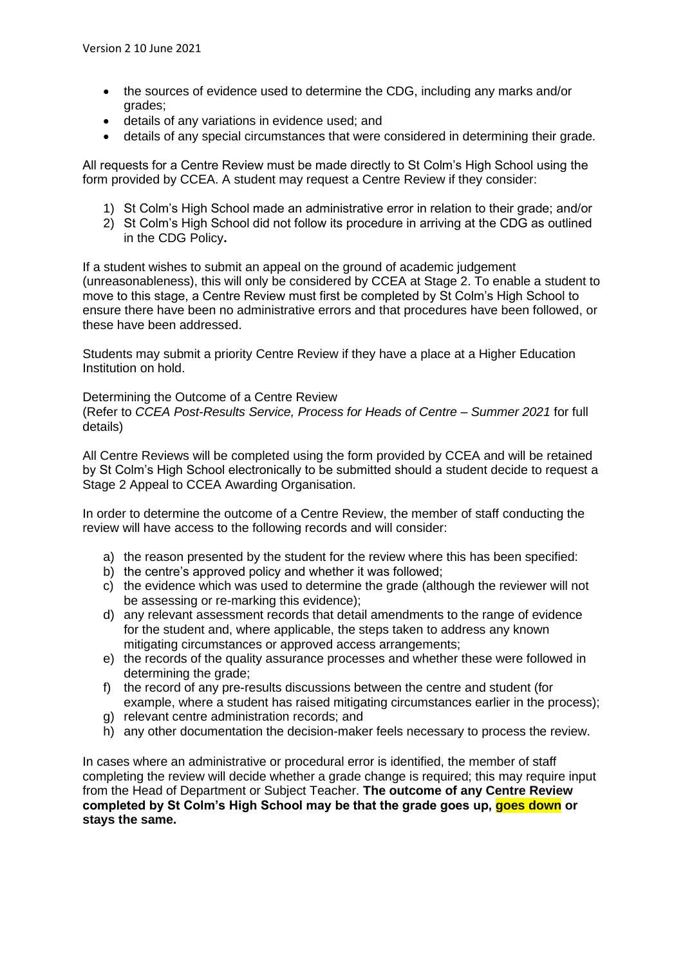- the sources of evidence used to determine the CDG, including any marks and/or grades;
- details of any variations in evidence used; and
- details of any special circumstances that were considered in determining their grade.

All requests for a Centre Review must be made directly to St Colm's High School using the form provided by CCEA. A student may request a Centre Review if they consider:

- 1) St Colm's High School made an administrative error in relation to their grade; and/or
- 2) St Colm's High School did not follow its procedure in arriving at the CDG as outlined in the CDG Policy**.**

If a student wishes to submit an appeal on the ground of academic judgement (unreasonableness), this will only be considered by CCEA at Stage 2. To enable a student to move to this stage, a Centre Review must first be completed by St Colm's High School to ensure there have been no administrative errors and that procedures have been followed, or these have been addressed.

Students may submit a priority Centre Review if they have a place at a Higher Education Institution on hold.

Determining the Outcome of a Centre Review

(Refer to *CCEA Post-Results Service, Process for Heads of Centre – Summer 2021* for full details)

All Centre Reviews will be completed using the form provided by CCEA and will be retained by St Colm's High School electronically to be submitted should a student decide to request a Stage 2 Appeal to CCEA Awarding Organisation.

In order to determine the outcome of a Centre Review, the member of staff conducting the review will have access to the following records and will consider:

- a) the reason presented by the student for the review where this has been specified:
- b) the centre's approved policy and whether it was followed;
- c) the evidence which was used to determine the grade (although the reviewer will not be assessing or re-marking this evidence);
- d) any relevant assessment records that detail amendments to the range of evidence for the student and, where applicable, the steps taken to address any known mitigating circumstances or approved access arrangements;
- e) the records of the quality assurance processes and whether these were followed in determining the grade:
- f) the record of any pre-results discussions between the centre and student (for example, where a student has raised mitigating circumstances earlier in the process);
- g) relevant centre administration records; and
- h) any other documentation the decision-maker feels necessary to process the review.

In cases where an administrative or procedural error is identified, the member of staff completing the review will decide whether a grade change is required; this may require input from the Head of Department or Subject Teacher. **The outcome of any Centre Review completed by St Colm's High School may be that the grade goes up, goes down or stays the same.**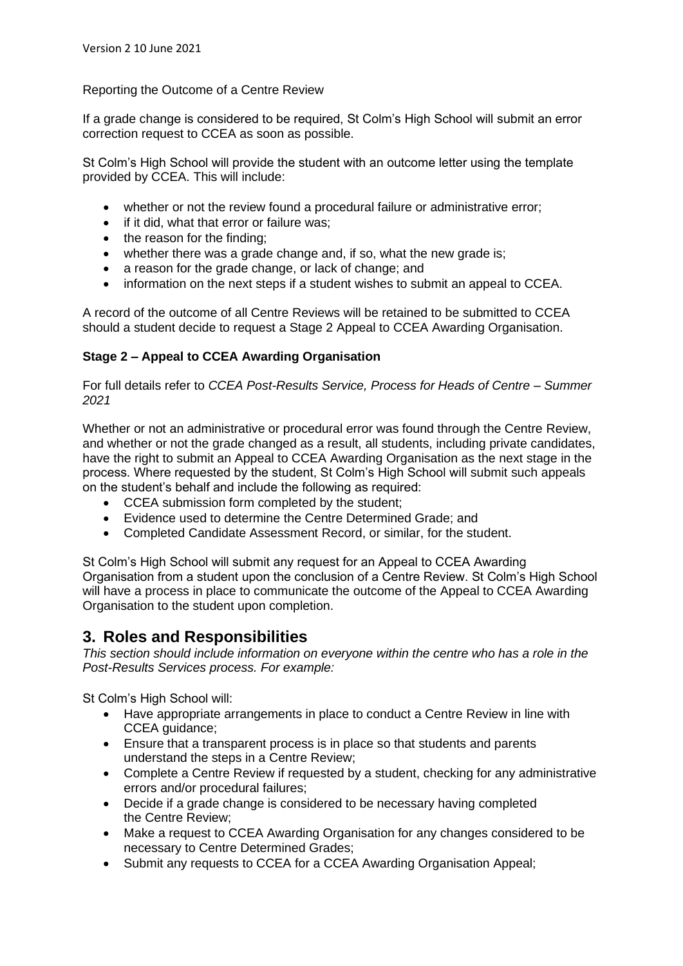#### Reporting the Outcome of a Centre Review

If a grade change is considered to be required, St Colm's High School will submit an error correction request to CCEA as soon as possible.

St Colm's High School will provide the student with an outcome letter using the template provided by CCEA. This will include:

- whether or not the review found a procedural failure or administrative error;
- if it did, what that error or failure was;
- the reason for the finding:
- whether there was a grade change and, if so, what the new grade is;
- a reason for the grade change, or lack of change; and
- information on the next steps if a student wishes to submit an appeal to CCEA.

A record of the outcome of all Centre Reviews will be retained to be submitted to CCEA should a student decide to request a Stage 2 Appeal to CCEA Awarding Organisation.

#### **Stage 2 – Appeal to CCEA Awarding Organisation**

For full details refer to *CCEA Post-Results Service, Process for Heads of Centre – Summer 2021*

Whether or not an administrative or procedural error was found through the Centre Review, and whether or not the grade changed as a result, all students, including private candidates, have the right to submit an Appeal to CCEA Awarding Organisation as the next stage in the process. Where requested by the student, St Colm's High School will submit such appeals on the student's behalf and include the following as required:

- CCEA submission form completed by the student:
- Evidence used to determine the Centre Determined Grade; and
- Completed Candidate Assessment Record, or similar, for the student.

St Colm's High School will submit any request for an Appeal to CCEA Awarding Organisation from a student upon the conclusion of a Centre Review. St Colm's High School will have a process in place to communicate the outcome of the Appeal to CCEA Awarding Organisation to the student upon completion.

## **3. Roles and Responsibilities**

*This section should include information on everyone within the centre who has a role in the Post-Results Services process. For example:* 

St Colm's High School will:

- Have appropriate arrangements in place to conduct a Centre Review in line with CCEA guidance;
- Ensure that a transparent process is in place so that students and parents understand the steps in a Centre Review;
- Complete a Centre Review if requested by a student, checking for any administrative errors and/or procedural failures;
- Decide if a grade change is considered to be necessary having completed the Centre Review;
- Make a request to CCEA Awarding Organisation for any changes considered to be necessary to Centre Determined Grades;
- Submit any requests to CCEA for a CCEA Awarding Organisation Appeal;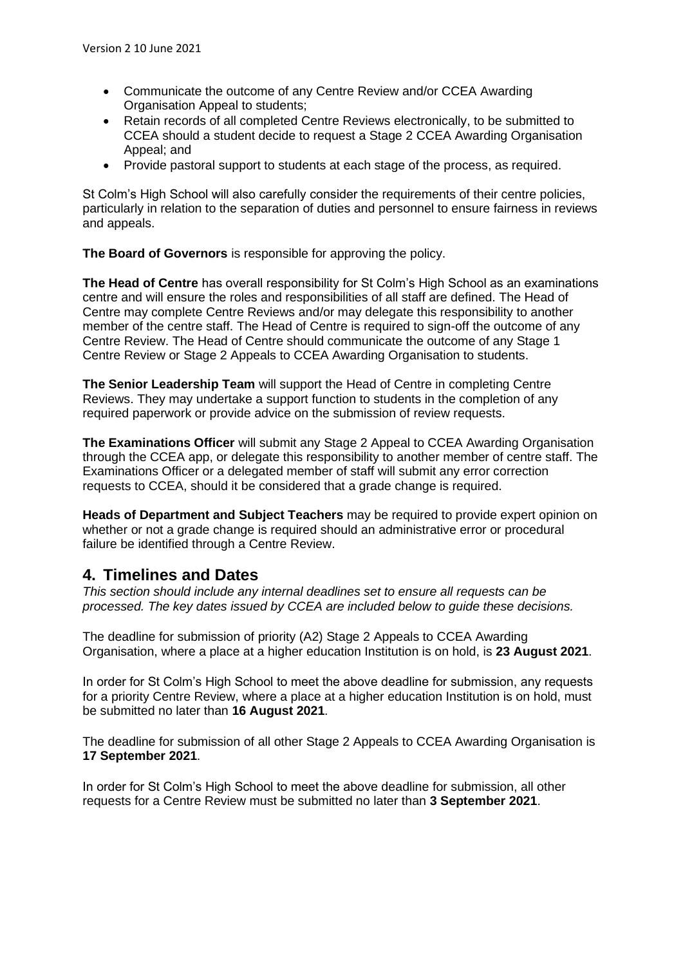- Communicate the outcome of any Centre Review and/or CCEA Awarding Organisation Appeal to students;
- Retain records of all completed Centre Reviews electronically, to be submitted to CCEA should a student decide to request a Stage 2 CCEA Awarding Organisation Appeal; and
- Provide pastoral support to students at each stage of the process, as required.

St Colm's High School will also carefully consider the requirements of their centre policies, particularly in relation to the separation of duties and personnel to ensure fairness in reviews and appeals.

**The Board of Governors** is responsible for approving the policy.

**The Head of Centre** has overall responsibility for St Colm's High School as an examinations centre and will ensure the roles and responsibilities of all staff are defined. The Head of Centre may complete Centre Reviews and/or may delegate this responsibility to another member of the centre staff. The Head of Centre is required to sign-off the outcome of any Centre Review. The Head of Centre should communicate the outcome of any Stage 1 Centre Review or Stage 2 Appeals to CCEA Awarding Organisation to students.

**The Senior Leadership Team** will support the Head of Centre in completing Centre Reviews. They may undertake a support function to students in the completion of any required paperwork or provide advice on the submission of review requests.

**The Examinations Officer** will submit any Stage 2 Appeal to CCEA Awarding Organisation through the CCEA app, or delegate this responsibility to another member of centre staff. The Examinations Officer or a delegated member of staff will submit any error correction requests to CCEA, should it be considered that a grade change is required.

**Heads of Department and Subject Teachers** may be required to provide expert opinion on whether or not a grade change is required should an administrative error or procedural failure be identified through a Centre Review.

## **4. Timelines and Dates**

*This section should include any internal deadlines set to ensure all requests can be processed. The key dates issued by CCEA are included below to guide these decisions.*

The deadline for submission of priority (A2) Stage 2 Appeals to CCEA Awarding Organisation, where a place at a higher education Institution is on hold, is **23 August 2021**.

In order for St Colm's High School to meet the above deadline for submission, any requests for a priority Centre Review, where a place at a higher education Institution is on hold, must be submitted no later than **16 August 2021**.

The deadline for submission of all other Stage 2 Appeals to CCEA Awarding Organisation is **17 September 2021**.

In order for St Colm's High School to meet the above deadline for submission, all other requests for a Centre Review must be submitted no later than **3 September 2021**.